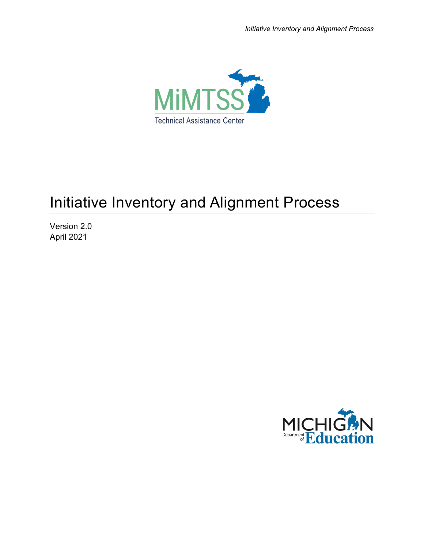

# Initiative Inventory and Alignment Process

Version 2.0 April 2021

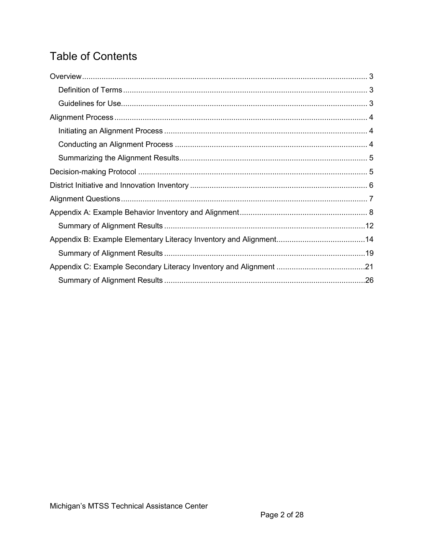## **Table of Contents**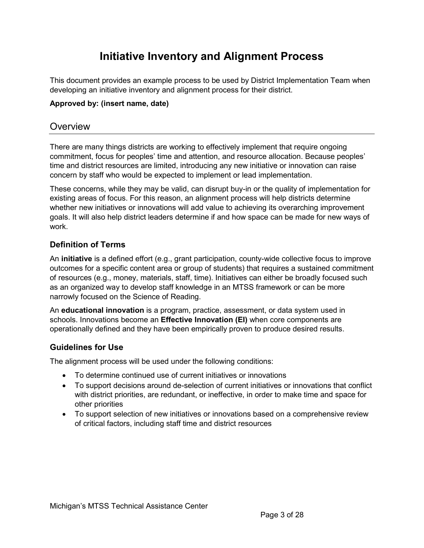## **Initiative Inventory and Alignment Process**

This document provides an example process to be used by District Implementation Team when developing an initiative inventory and alignment process for their district.

#### **Approved by: (insert name, date)**

## <span id="page-2-0"></span>**Overview**

There are many things districts are working to effectively implement that require ongoing commitment, focus for peoples' time and attention, and resource allocation. Because peoples' time and district resources are limited, introducing any new initiative or innovation can raise concern by staff who would be expected to implement or lead implementation.

These concerns, while they may be valid, can disrupt buy-in or the quality of implementation for existing areas of focus. For this reason, an alignment process will help districts determine whether new initiatives or innovations will add value to achieving its overarching improvement goals. It will also help district leaders determine if and how space can be made for new ways of work.

## <span id="page-2-1"></span>**Definition of Terms**

An **initiative** is a defined effort (e.g., grant participation, county-wide collective focus to improve outcomes for a specific content area or group of students) that requires a sustained commitment of resources (e.g., money, materials, staff, time). Initiatives can either be broadly focused such as an organized way to develop staff knowledge in an MTSS framework or can be more narrowly focused on the Science of Reading.

An **educational innovation** is a program, practice, assessment, or data system used in schools. Innovations become an **Effective Innovation (EI)** when core components are operationally defined and they have been empirically proven to produce desired results.

## <span id="page-2-2"></span>**Guidelines for Use**

The alignment process will be used under the following conditions:

- To determine continued use of current initiatives or innovations
- To support decisions around de-selection of current initiatives or innovations that conflict with district priorities, are redundant, or ineffective, in order to make time and space for other priorities
- To support selection of new initiatives or innovations based on a comprehensive review of critical factors, including staff time and district resources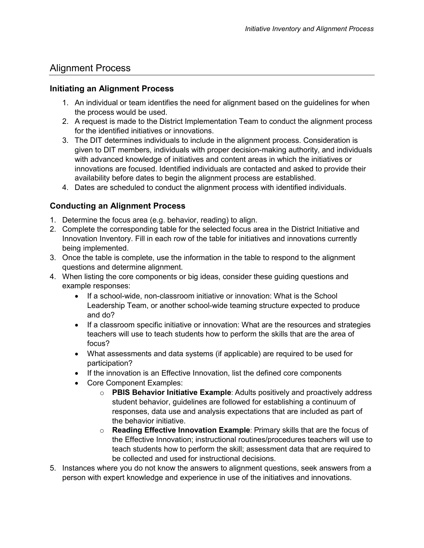## <span id="page-3-0"></span>Alignment Process

#### <span id="page-3-1"></span>**Initiating an Alignment Process**

- 1. An individual or team identifies the need for alignment based on the guidelines for when the process would be used.
- 2. A request is made to the District Implementation Team to conduct the alignment process for the identified initiatives or innovations.
- 3. The DIT determines individuals to include in the alignment process. Consideration is given to DIT members, individuals with proper decision-making authority, and individuals with advanced knowledge of initiatives and content areas in which the initiatives or innovations are focused. Identified individuals are contacted and asked to provide their availability before dates to begin the alignment process are established.
- 4. Dates are scheduled to conduct the alignment process with identified individuals.

#### <span id="page-3-2"></span>**Conducting an Alignment Process**

- 1. Determine the focus area (e.g. behavior, reading) to align.
- 2. Complete the corresponding table for the selected focus area in the District Initiative and Innovation Inventory. Fill in each row of the table for initiatives and innovations currently being implemented.
- 3. Once the table is complete, use the information in the table to respond to the alignment questions and determine alignment.
- 4. When listing the core components or big ideas, consider these guiding questions and example responses:
	- If a school-wide, non-classroom initiative or innovation: What is the School Leadership Team, or another school-wide teaming structure expected to produce and do?
	- If a classroom specific initiative or innovation: What are the resources and strategies teachers will use to teach students how to perform the skills that are the area of focus?
	- What assessments and data systems (if applicable) are required to be used for participation?
	- If the innovation is an Effective Innovation, list the defined core components
	- Core Component Examples:
		- o **PBIS Behavior Initiative Example**: Adults positively and proactively address student behavior, guidelines are followed for establishing a continuum of responses, data use and analysis expectations that are included as part of the behavior initiative.
		- o **Reading Effective Innovation Example**: Primary skills that are the focus of the Effective Innovation; instructional routines/procedures teachers will use to teach students how to perform the skill; assessment data that are required to be collected and used for instructional decisions.
- 5. Instances where you do not know the answers to alignment questions, seek answers from a person with expert knowledge and experience in use of the initiatives and innovations.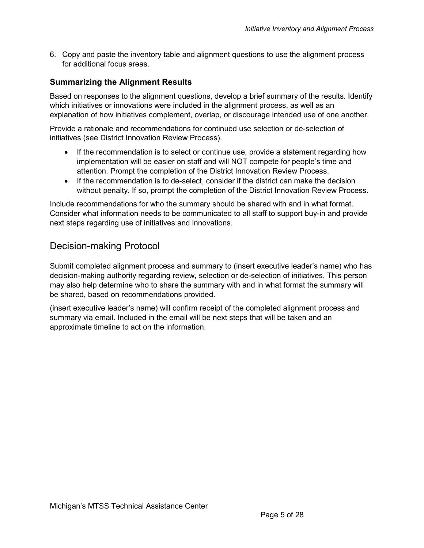6. Copy and paste the inventory table and alignment questions to use the alignment process for additional focus areas.

### <span id="page-4-0"></span>**Summarizing the Alignment Results**

Based on responses to the alignment questions, develop a brief summary of the results. Identify which initiatives or innovations were included in the alignment process, as well as an explanation of how initiatives complement, overlap, or discourage intended use of one another.

Provide a rationale and recommendations for continued use selection or de-selection of initiatives (see District Innovation Review Process).

- If the recommendation is to select or continue use, provide a statement regarding how implementation will be easier on staff and will NOT compete for people's time and attention. Prompt the completion of the District Innovation Review Process.
- If the recommendation is to de-select, consider if the district can make the decision without penalty. If so, prompt the completion of the District Innovation Review Process.

Include recommendations for who the summary should be shared with and in what format. Consider what information needs to be communicated to all staff to support buy-in and provide next steps regarding use of initiatives and innovations.

## <span id="page-4-1"></span>Decision-making Protocol

Submit completed alignment process and summary to (insert executive leader's name) who has decision-making authority regarding review, selection or de-selection of initiatives. This person may also help determine who to share the summary with and in what format the summary will be shared, based on recommendations provided.

(insert executive leader's name) will confirm receipt of the completed alignment process and summary via email. Included in the email will be next steps that will be taken and an approximate timeline to act on the information.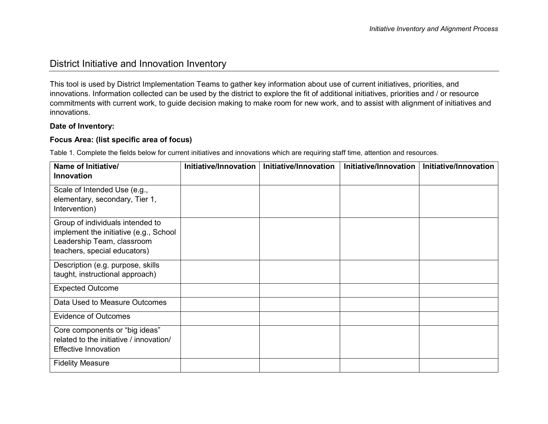## District Initiative and Innovation Inventory

This tool is used by District Implementation Teams to gather key information about use of current initiatives, priorities, and innovations. Information collected can be used by the district to explore the fit of additional initiatives, priorities and / or resource commitments with current work, to guide decision making to make room for new work, and to assist with alignment of initiatives and innovations.

#### **Date of Inventory:**

#### **Focus Area: (list specific area of focus)**

Table 1. Complete the fields below for current initiatives and innovations which are requiring staff time, attention and resources.

<span id="page-5-0"></span>

| Name of Initiative/                                                        | Initiative/Innovation | Initiative/Innovation | Initiative/Innovation | Initiative/Innovation |
|----------------------------------------------------------------------------|-----------------------|-----------------------|-----------------------|-----------------------|
| <b>Innovation</b>                                                          |                       |                       |                       |                       |
| Scale of Intended Use (e.g.,<br>elementary, secondary, Tier 1,             |                       |                       |                       |                       |
| Intervention)                                                              |                       |                       |                       |                       |
| Group of individuals intended to<br>implement the initiative (e.g., School |                       |                       |                       |                       |
| Leadership Team, classroom                                                 |                       |                       |                       |                       |
| teachers, special educators)                                               |                       |                       |                       |                       |
| Description (e.g. purpose, skills                                          |                       |                       |                       |                       |
| taught, instructional approach)                                            |                       |                       |                       |                       |
| <b>Expected Outcome</b>                                                    |                       |                       |                       |                       |
| Data Used to Measure Outcomes                                              |                       |                       |                       |                       |
| <b>Evidence of Outcomes</b>                                                |                       |                       |                       |                       |
| Core components or "big ideas"                                             |                       |                       |                       |                       |
| related to the initiative / innovation/                                    |                       |                       |                       |                       |
| <b>Effective Innovation</b>                                                |                       |                       |                       |                       |
| <b>Fidelity Measure</b>                                                    |                       |                       |                       |                       |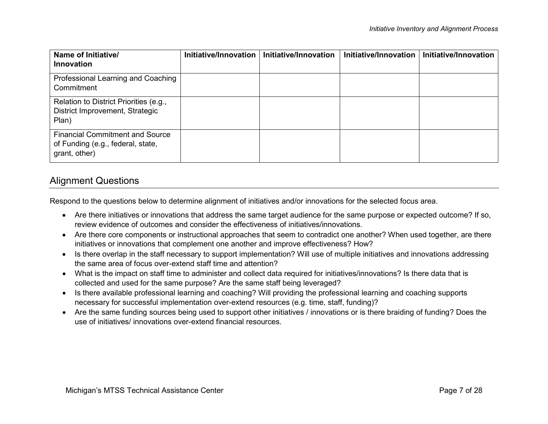| Name of Initiative/<br><b>Innovation</b>                                                     | Initiative/Innovation | Initiative/Innovation | Initiative/Innovation | Initiative/Innovation |
|----------------------------------------------------------------------------------------------|-----------------------|-----------------------|-----------------------|-----------------------|
| Professional Learning and Coaching<br>Commitment                                             |                       |                       |                       |                       |
| Relation to District Priorities (e.g.,<br>District Improvement, Strategic<br>Plan)           |                       |                       |                       |                       |
| <b>Financial Commitment and Source</b><br>of Funding (e.g., federal, state,<br>grant, other) |                       |                       |                       |                       |

## Alignment Questions

Respond to the questions below to determine alignment of initiatives and/or innovations for the selected focus area.

- Are there initiatives or innovations that address the same target audience for the same purpose or expected outcome? If so, review evidence of outcomes and consider the effectiveness of initiatives/innovations.
- Are there core components or instructional approaches that seem to contradict one another? When used together, are there initiatives or innovations that complement one another and improve effectiveness? How?
- Is there overlap in the staff necessary to support implementation? Will use of multiple initiatives and innovations addressing the same area of focus over-extend staff time and attention?
- What is the impact on staff time to administer and collect data required for initiatives/innovations? Is there data that is collected and used for the same purpose? Are the same staff being leveraged?
- <span id="page-6-0"></span>• Is there available professional learning and coaching? Will providing the professional learning and coaching supports necessary for successful implementation over-extend resources (e.g. time, staff, funding)?
- Are the same funding sources being used to support other initiatives / innovations or is there braiding of funding? Does the use of initiatives/ innovations over-extend financial resources.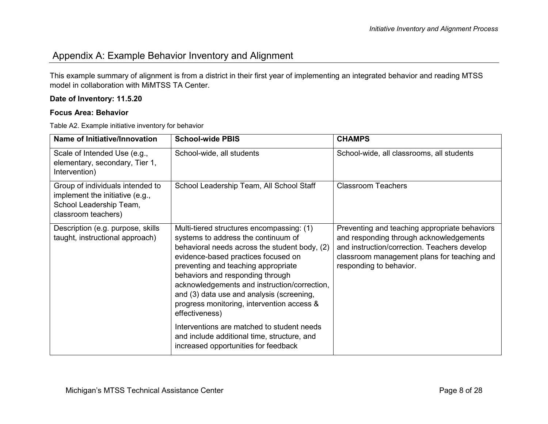## Appendix A: Example Behavior Inventory and Alignment

This example summary of alignment is from a district in their first year of implementing an integrated behavior and reading MTSS model in collaboration with MiMTSS TA Center.

#### **Date of Inventory: 11.5.20**

#### **Focus Area: Behavior**

Table A2. Example initiative inventory for behavior

<span id="page-7-0"></span>

| <b>Name of Initiative/Innovation</b>                                                                                  | <b>School-wide PBIS</b>                                                                                                                                                                                                                                                                                                                                                                                                                                                                                                                               | <b>CHAMPS</b>                                                                                                                                                                                                      |
|-----------------------------------------------------------------------------------------------------------------------|-------------------------------------------------------------------------------------------------------------------------------------------------------------------------------------------------------------------------------------------------------------------------------------------------------------------------------------------------------------------------------------------------------------------------------------------------------------------------------------------------------------------------------------------------------|--------------------------------------------------------------------------------------------------------------------------------------------------------------------------------------------------------------------|
| Scale of Intended Use (e.g.,<br>elementary, secondary, Tier 1,<br>Intervention)                                       | School-wide, all students                                                                                                                                                                                                                                                                                                                                                                                                                                                                                                                             | School-wide, all classrooms, all students                                                                                                                                                                          |
| Group of individuals intended to<br>implement the initiative (e.g.,<br>School Leadership Team,<br>classroom teachers) | School Leadership Team, All School Staff                                                                                                                                                                                                                                                                                                                                                                                                                                                                                                              | <b>Classroom Teachers</b>                                                                                                                                                                                          |
| Description (e.g. purpose, skills<br>taught, instructional approach)                                                  | Multi-tiered structures encompassing: (1)<br>systems to address the continuum of<br>behavioral needs across the student body, (2)<br>evidence-based practices focused on<br>preventing and teaching appropriate<br>behaviors and responding through<br>acknowledgements and instruction/correction,<br>and (3) data use and analysis (screening,<br>progress monitoring, intervention access &<br>effectiveness)<br>Interventions are matched to student needs<br>and include additional time, structure, and<br>increased opportunities for feedback | Preventing and teaching appropriate behaviors<br>and responding through acknowledgements<br>and instruction/correction. Teachers develop<br>classroom management plans for teaching and<br>responding to behavior. |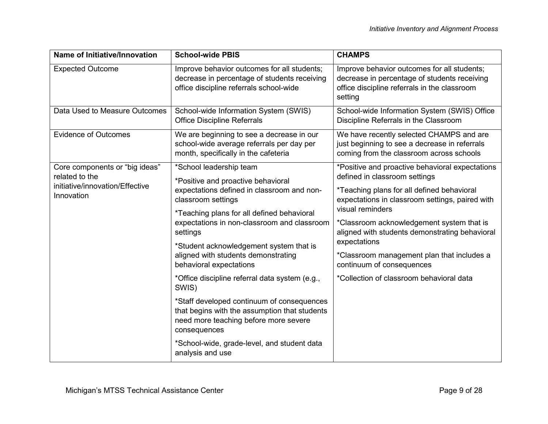| <b>Name of Initiative/Innovation</b>                                                              | <b>School-wide PBIS</b>                                                                                                                                                                                                                                                                                                                                                                                                                                                                                                                                                                                                                       | <b>CHAMPS</b>                                                                                                                                                                                                                                                                                                                                                                                                                               |
|---------------------------------------------------------------------------------------------------|-----------------------------------------------------------------------------------------------------------------------------------------------------------------------------------------------------------------------------------------------------------------------------------------------------------------------------------------------------------------------------------------------------------------------------------------------------------------------------------------------------------------------------------------------------------------------------------------------------------------------------------------------|---------------------------------------------------------------------------------------------------------------------------------------------------------------------------------------------------------------------------------------------------------------------------------------------------------------------------------------------------------------------------------------------------------------------------------------------|
| <b>Expected Outcome</b>                                                                           | Improve behavior outcomes for all students;<br>decrease in percentage of students receiving<br>office discipline referrals school-wide                                                                                                                                                                                                                                                                                                                                                                                                                                                                                                        | Improve behavior outcomes for all students;<br>decrease in percentage of students receiving<br>office discipline referrals in the classroom<br>setting                                                                                                                                                                                                                                                                                      |
| Data Used to Measure Outcomes                                                                     | School-wide Information System (SWIS)<br><b>Office Discipline Referrals</b>                                                                                                                                                                                                                                                                                                                                                                                                                                                                                                                                                                   | School-wide Information System (SWIS) Office<br>Discipline Referrals in the Classroom                                                                                                                                                                                                                                                                                                                                                       |
| <b>Evidence of Outcomes</b>                                                                       | We are beginning to see a decrease in our<br>school-wide average referrals per day per<br>month, specifically in the cafeteria                                                                                                                                                                                                                                                                                                                                                                                                                                                                                                                | We have recently selected CHAMPS and are<br>just beginning to see a decrease in referrals<br>coming from the classroom across schools                                                                                                                                                                                                                                                                                                       |
| Core components or "big ideas"<br>related to the<br>initiative/innovation/Effective<br>Innovation | *School leadership team<br>*Positive and proactive behavioral<br>expectations defined in classroom and non-<br>classroom settings<br>*Teaching plans for all defined behavioral<br>expectations in non-classroom and classroom<br>settings<br>*Student acknowledgement system that is<br>aligned with students demonstrating<br>behavioral expectations<br>*Office discipline referral data system (e.g.,<br>SWIS)<br>*Staff developed continuum of consequences<br>that begins with the assumption that students<br>need more teaching before more severe<br>consequences<br>*School-wide, grade-level, and student data<br>analysis and use | *Positive and proactive behavioral expectations<br>defined in classroom settings<br>*Teaching plans for all defined behavioral<br>expectations in classroom settings, paired with<br>visual reminders<br>*Classroom acknowledgement system that is<br>aligned with students demonstrating behavioral<br>expectations<br>*Classroom management plan that includes a<br>continuum of consequences<br>*Collection of classroom behavioral data |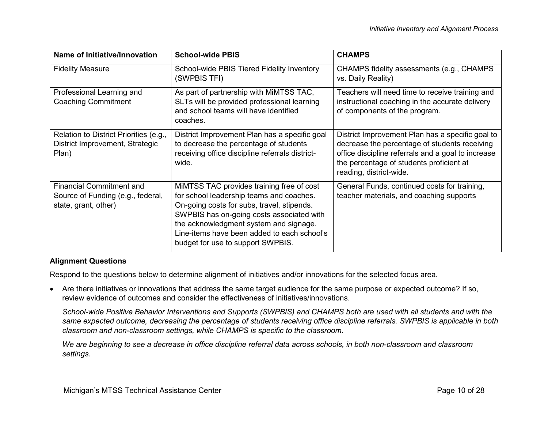| <b>Name of Initiative/Innovation</b>                                                         | <b>School-wide PBIS</b>                                                                                                                                                                                                                                                                                        | <b>CHAMPS</b>                                                                                                                                                                                                                  |
|----------------------------------------------------------------------------------------------|----------------------------------------------------------------------------------------------------------------------------------------------------------------------------------------------------------------------------------------------------------------------------------------------------------------|--------------------------------------------------------------------------------------------------------------------------------------------------------------------------------------------------------------------------------|
| <b>Fidelity Measure</b>                                                                      | School-wide PBIS Tiered Fidelity Inventory<br>(SWPBIS TFI)                                                                                                                                                                                                                                                     | CHAMPS fidelity assessments (e.g., CHAMPS<br>vs. Daily Reality)                                                                                                                                                                |
| Professional Learning and<br><b>Coaching Commitment</b>                                      | As part of partnership with MiMTSS TAC,<br>SLTs will be provided professional learning<br>and school teams will have identified<br>coaches.                                                                                                                                                                    | Teachers will need time to receive training and<br>instructional coaching in the accurate delivery<br>of components of the program.                                                                                            |
| Relation to District Priorities (e.g.,<br>District Improvement, Strategic<br>Plan)           | District Improvement Plan has a specific goal<br>to decrease the percentage of students<br>receiving office discipline referrals district-<br>wide.                                                                                                                                                            | District Improvement Plan has a specific goal to<br>decrease the percentage of students receiving<br>office discipline referrals and a goal to increase<br>the percentage of students proficient at<br>reading, district-wide. |
| <b>Financial Commitment and</b><br>Source of Funding (e.g., federal,<br>state, grant, other) | MIMTSS TAC provides training free of cost<br>for school leadership teams and coaches.<br>On-going costs for subs, travel, stipends.<br>SWPBIS has on-going costs associated with<br>the acknowledgment system and signage.<br>Line-items have been added to each school's<br>budget for use to support SWPBIS. | General Funds, continued costs for training,<br>teacher materials, and coaching supports                                                                                                                                       |

#### **Alignment Questions**

Respond to the questions below to determine alignment of initiatives and/or innovations for the selected focus area.

• Are there initiatives or innovations that address the same target audience for the same purpose or expected outcome? If so, review evidence of outcomes and consider the effectiveness of initiatives/innovations.

*School-wide Positive Behavior Interventions and Supports (SWPBIS) and CHAMPS both are used with all students and with the same expected outcome, decreasing the percentage of students receiving office discipline referrals. SWPBIS is applicable in both classroom and non-classroom settings, while CHAMPS is specific to the classroom.*

*We are beginning to see a decrease in office discipline referral data across schools, in both non-classroom and classroom settings.*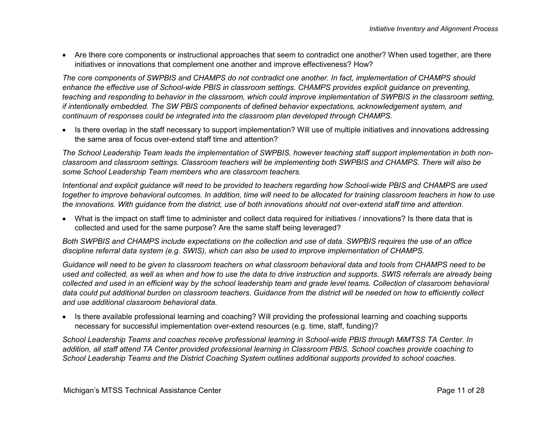• Are there core components or instructional approaches that seem to contradict one another? When used together, are there initiatives or innovations that complement one another and improve effectiveness? How?

*The core components of SWPBIS and CHAMPS do not contradict one another. In fact, implementation of CHAMPS should enhance the effective use of School-wide PBIS in classroom settings. CHAMPS provides explicit guidance on preventing, teaching and responding to behavior in the classroom, which could improve implementation of SWPBIS in the classroom setting, if intentionally embedded. The SW PBIS components of defined behavior expectations, acknowledgement system, and continuum of responses could be integrated into the classroom plan developed through CHAMPS.*

• Is there overlap in the staff necessary to support implementation? Will use of multiple initiatives and innovations addressing the same area of focus over-extend staff time and attention?

*The School Leadership Team leads the implementation of SWPBIS, however teaching staff support implementation in both nonclassroom and classroom settings. Classroom teachers will be implementing both SWPBIS and CHAMPS. There will also be some School Leadership Team members who are classroom teachers.*

*Intentional and explicit guidance will need to be provided to teachers regarding how School-wide PBIS and CHAMPS are used together to improve behavioral outcomes. In addition, time will need to be allocated for training classroom teachers in how to use the innovations. With guidance from the district, use of both innovations should not over-extend staff time and attention.*

• What is the impact on staff time to administer and collect data required for initiatives / innovations? Is there data that is collected and used for the same purpose? Are the same staff being leveraged?

*Both SWPBIS and CHAMPS include expectations on the collection and use of data. SWPBIS requires the use of an office discipline referral data system (e.g. SWIS), which can also be used to improve implementation of CHAMPS.* 

*Guidance will need to be given to classroom teachers on what classroom behavioral data and tools from CHAMPS need to be used and collected, as well as when and how to use the data to drive instruction and supports. SWIS referrals are already being collected and used in an efficient way by the school leadership team and grade level teams. Collection of classroom behavioral data could put additional burden on classroom teachers. Guidance from the district will be needed on how to efficiently collect and use additional classroom behavioral data.*

• Is there available professional learning and coaching? Will providing the professional learning and coaching supports necessary for successful implementation over-extend resources (e.g. time, staff, funding)?

*School Leadership Teams and coaches receive professional learning in School-wide PBIS through MiMTSS TA Center. In addition, all staff attend TA Center provided professional learning in Classroom PBIS. School coaches provide coaching to School Leadership Teams and the District Coaching System outlines additional supports provided to school coaches.*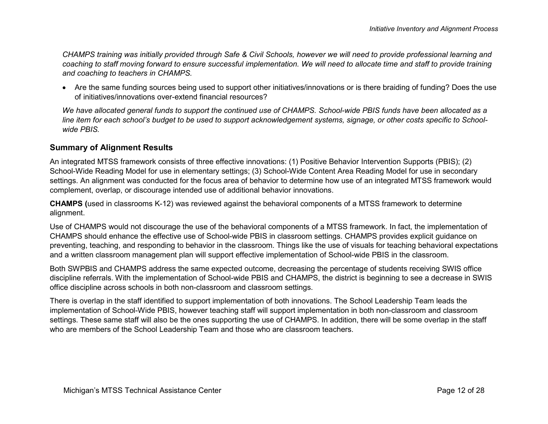*CHAMPS training was initially provided through Safe & Civil Schools, however we will need to provide professional learning and coaching to staff moving forward to ensure successful implementation. We will need to allocate time and staff to provide training and coaching to teachers in CHAMPS.*

• Are the same funding sources being used to support other initiatives/innovations or is there braiding of funding? Does the use of initiatives/innovations over-extend financial resources?

*We have allocated general funds to support the continued use of CHAMPS. School-wide PBIS funds have been allocated as a line item for each school's budget to be used to support acknowledgement systems, signage, or other costs specific to Schoolwide PBIS.*

#### **Summary of Alignment Results**

An integrated MTSS framework consists of three effective innovations: (1) Positive Behavior Intervention Supports (PBIS); (2) School-Wide Reading Model for use in elementary settings; (3) School-Wide Content Area Reading Model for use in secondary settings. An alignment was conducted for the focus area of behavior to determine how use of an integrated MTSS framework would complement, overlap, or discourage intended use of additional behavior innovations.

**CHAMPS (**used in classrooms K-12) was reviewed against the behavioral components of a MTSS framework to determine alignment.

Use of CHAMPS would not discourage the use of the behavioral components of a MTSS framework. In fact, the implementation of CHAMPS should enhance the effective use of School-wide PBIS in classroom settings. CHAMPS provides explicit guidance on preventing, teaching, and responding to behavior in the classroom. Things like the use of visuals for teaching behavioral expectations and a written classroom management plan will support effective implementation of School-wide PBIS in the classroom.

<span id="page-11-0"></span>Both SWPBIS and CHAMPS address the same expected outcome, decreasing the percentage of students receiving SWIS office discipline referrals. With the implementation of School-wide PBIS and CHAMPS, the district is beginning to see a decrease in SWIS office discipline across schools in both non-classroom and classroom settings.

There is overlap in the staff identified to support implementation of both innovations. The School Leadership Team leads the implementation of School-Wide PBIS, however teaching staff will support implementation in both non-classroom and classroom settings. These same staff will also be the ones supporting the use of CHAMPS. In addition, there will be some overlap in the staff who are members of the School Leadership Team and those who are classroom teachers.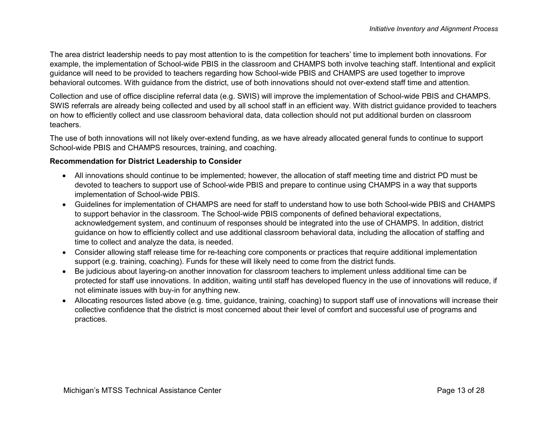The area district leadership needs to pay most attention to is the competition for teachers' time to implement both innovations. For example, the implementation of School-wide PBIS in the classroom and CHAMPS both involve teaching staff. Intentional and explicit guidance will need to be provided to teachers regarding how School-wide PBIS and CHAMPS are used together to improve behavioral outcomes. With guidance from the district, use of both innovations should not over-extend staff time and attention.

Collection and use of office discipline referral data (e.g. SWIS) will improve the implementation of School-wide PBIS and CHAMPS. SWIS referrals are already being collected and used by all school staff in an efficient way. With district guidance provided to teachers on how to efficiently collect and use classroom behavioral data, data collection should not put additional burden on classroom teachers.

The use of both innovations will not likely over-extend funding, as we have already allocated general funds to continue to support School-wide PBIS and CHAMPS resources, training, and coaching.

#### **Recommendation for District Leadership to Consider**

- All innovations should continue to be implemented; however, the allocation of staff meeting time and district PD must be devoted to teachers to support use of School-wide PBIS and prepare to continue using CHAMPS in a way that supports implementation of School-wide PBIS.
- Guidelines for implementation of CHAMPS are need for staff to understand how to use both School-wide PBIS and CHAMPS to support behavior in the classroom. The School-wide PBIS components of defined behavioral expectations, acknowledgement system, and continuum of responses should be integrated into the use of CHAMPS. In addition, district guidance on how to efficiently collect and use additional classroom behavioral data, including the allocation of staffing and time to collect and analyze the data, is needed.
- Consider allowing staff release time for re-teaching core components or practices that require additional implementation support (e.g. training, coaching). Funds for these will likely need to come from the district funds.
- Be judicious about layering-on another innovation for classroom teachers to implement unless additional time can be protected for staff use innovations. In addition, waiting until staff has developed fluency in the use of innovations will reduce, if not eliminate issues with buy-in for anything new.
- Allocating resources listed above (e.g. time, guidance, training, coaching) to support staff use of innovations will increase their collective confidence that the district is most concerned about their level of comfort and successful use of programs and practices.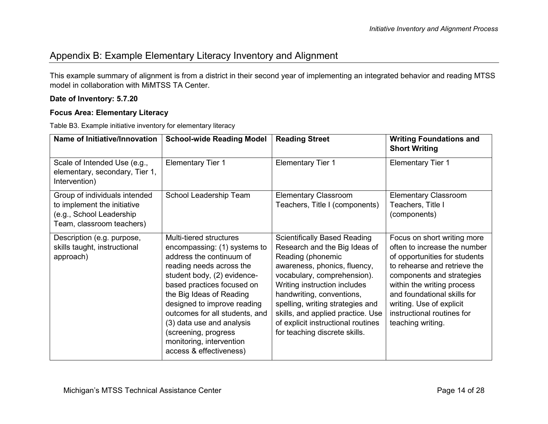## Appendix B: Example Elementary Literacy Inventory and Alignment

This example summary of alignment is from a district in their second year of implementing an integrated behavior and reading MTSS model in collaboration with MiMTSS TA Center.

#### **Date of Inventory: 5.7.20**

#### **Focus Area: Elementary Literacy**

Table B3. Example initiative inventory for elementary literacy

<span id="page-13-0"></span>

| <b>Name of Initiative/Innovation</b>                                                                                  | <b>School-wide Reading Model</b>                                                                                                                                                                                                                                                                                                                                                      | <b>Reading Street</b>                                                                                                                                                                                                                                                                                                                                                 | <b>Writing Foundations and</b><br><b>Short Writing</b>                                                                                                                                                                                                                                                |
|-----------------------------------------------------------------------------------------------------------------------|---------------------------------------------------------------------------------------------------------------------------------------------------------------------------------------------------------------------------------------------------------------------------------------------------------------------------------------------------------------------------------------|-----------------------------------------------------------------------------------------------------------------------------------------------------------------------------------------------------------------------------------------------------------------------------------------------------------------------------------------------------------------------|-------------------------------------------------------------------------------------------------------------------------------------------------------------------------------------------------------------------------------------------------------------------------------------------------------|
| Scale of Intended Use (e.g.,<br>elementary, secondary, Tier 1,<br>Intervention)                                       | <b>Elementary Tier 1</b>                                                                                                                                                                                                                                                                                                                                                              | <b>Elementary Tier 1</b>                                                                                                                                                                                                                                                                                                                                              | <b>Elementary Tier 1</b>                                                                                                                                                                                                                                                                              |
| Group of individuals intended<br>to implement the initiative<br>(e.g., School Leadership<br>Team, classroom teachers) | School Leadership Team                                                                                                                                                                                                                                                                                                                                                                | <b>Elementary Classroom</b><br>Teachers, Title I (components)                                                                                                                                                                                                                                                                                                         | <b>Elementary Classroom</b><br>Teachers, Title I<br>(components)                                                                                                                                                                                                                                      |
| Description (e.g. purpose,<br>skills taught, instructional<br>approach)                                               | Multi-tiered structures<br>encompassing: (1) systems to<br>address the continuum of<br>reading needs across the<br>student body, (2) evidence-<br>based practices focused on<br>the Big Ideas of Reading<br>designed to improve reading<br>outcomes for all students, and<br>(3) data use and analysis<br>(screening, progress<br>monitoring, intervention<br>access & effectiveness) | <b>Scientifically Based Reading</b><br>Research and the Big Ideas of<br>Reading (phonemic<br>awareness, phonics, fluency,<br>vocabulary, comprehension).<br>Writing instruction includes<br>handwriting, conventions,<br>spelling, writing strategies and<br>skills, and applied practice. Use<br>of explicit instructional routines<br>for teaching discrete skills. | Focus on short writing more<br>often to increase the number<br>of opportunities for students<br>to rehearse and retrieve the<br>components and strategies<br>within the writing process<br>and foundational skills for<br>writing. Use of explicit<br>instructional routines for<br>teaching writing. |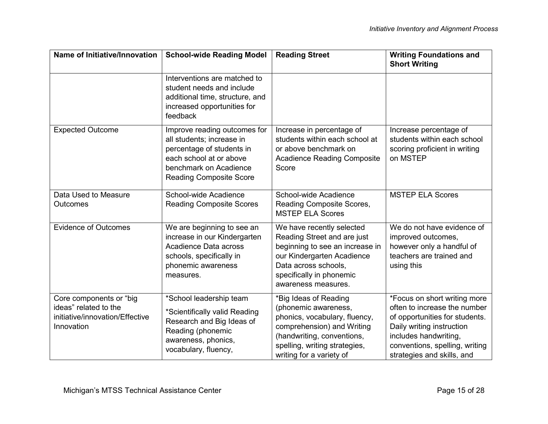| <b>Name of Initiative/Innovation</b>                                                              | <b>School-wide Reading Model</b>                                                                                                                                              | <b>Reading Street</b>                                                                                                                                                                                   | <b>Writing Foundations and</b><br><b>Short Writing</b>                                                                                                                                                               |
|---------------------------------------------------------------------------------------------------|-------------------------------------------------------------------------------------------------------------------------------------------------------------------------------|---------------------------------------------------------------------------------------------------------------------------------------------------------------------------------------------------------|----------------------------------------------------------------------------------------------------------------------------------------------------------------------------------------------------------------------|
|                                                                                                   | Interventions are matched to<br>student needs and include<br>additional time, structure, and<br>increased opportunities for<br>feedback                                       |                                                                                                                                                                                                         |                                                                                                                                                                                                                      |
| <b>Expected Outcome</b>                                                                           | Improve reading outcomes for<br>all students; increase in<br>percentage of students in<br>each school at or above<br>benchmark on Acadience<br><b>Reading Composite Score</b> | Increase in percentage of<br>students within each school at<br>or above benchmark on<br><b>Acadience Reading Composite</b><br>Score                                                                     | Increase percentage of<br>students within each school<br>scoring proficient in writing<br>on MSTEP                                                                                                                   |
| Data Used to Measure<br><b>Outcomes</b>                                                           | School-wide Acadience<br><b>Reading Composite Scores</b>                                                                                                                      | School-wide Acadience<br>Reading Composite Scores,<br><b>MSTEP ELA Scores</b>                                                                                                                           | <b>MSTEP ELA Scores</b>                                                                                                                                                                                              |
| <b>Evidence of Outcomes</b>                                                                       | We are beginning to see an<br>increase in our Kindergarten<br>Acadience Data across<br>schools, specifically in<br>phonemic awareness<br>measures.                            | We have recently selected<br>Reading Street and are just<br>beginning to see an increase in<br>our Kindergarten Acadience<br>Data across schools,<br>specifically in phonemic<br>awareness measures.    | We do not have evidence of<br>improved outcomes,<br>however only a handful of<br>teachers are trained and<br>using this                                                                                              |
| Core components or "big<br>ideas" related to the<br>initiative/innovation/Effective<br>Innovation | *School leadership team<br>*Scientifically valid Reading<br>Research and Big Ideas of<br>Reading (phonemic<br>awareness, phonics,<br>vocabulary, fluency,                     | *Big Ideas of Reading<br>(phonemic awareness,<br>phonics, vocabulary, fluency,<br>comprehension) and Writing<br>(handwriting, conventions,<br>spelling, writing strategies,<br>writing for a variety of | *Focus on short writing more<br>often to increase the number<br>of opportunities for students.<br>Daily writing instruction<br>includes handwriting,<br>conventions, spelling, writing<br>strategies and skills, and |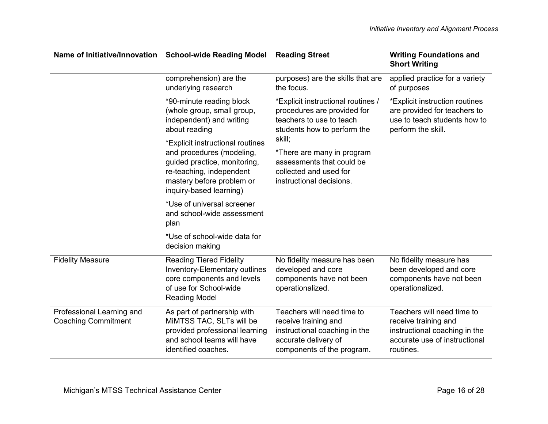| Name of Initiative/Innovation                           | <b>School-wide Reading Model</b>                                                                                                                                                  | <b>Reading Street</b>                                                                                                                     | <b>Writing Foundations and</b><br><b>Short Writing</b>                                                                            |
|---------------------------------------------------------|-----------------------------------------------------------------------------------------------------------------------------------------------------------------------------------|-------------------------------------------------------------------------------------------------------------------------------------------|-----------------------------------------------------------------------------------------------------------------------------------|
|                                                         | comprehension) are the<br>underlying research                                                                                                                                     | purposes) are the skills that are<br>the focus.                                                                                           | applied practice for a variety<br>of purposes                                                                                     |
|                                                         | *90-minute reading block<br>(whole group, small group,<br>independent) and writing<br>about reading                                                                               | *Explicit instructional routines /<br>procedures are provided for<br>teachers to use to teach<br>students how to perform the              | *Explicit instruction routines<br>are provided for teachers to<br>use to teach students how to<br>perform the skill.              |
|                                                         | *Explicit instructional routines<br>and procedures (modeling,<br>guided practice, monitoring,<br>re-teaching, independent<br>mastery before problem or<br>inquiry-based learning) | skill;<br>*There are many in program<br>assessments that could be<br>collected and used for<br>instructional decisions.                   |                                                                                                                                   |
|                                                         | *Use of universal screener<br>and school-wide assessment<br>plan                                                                                                                  |                                                                                                                                           |                                                                                                                                   |
|                                                         | *Use of school-wide data for<br>decision making                                                                                                                                   |                                                                                                                                           |                                                                                                                                   |
| <b>Fidelity Measure</b>                                 | <b>Reading Tiered Fidelity</b><br>Inventory-Elementary outlines<br>core components and levels<br>of use for School-wide<br><b>Reading Model</b>                                   | No fidelity measure has been<br>developed and core<br>components have not been<br>operationalized.                                        | No fidelity measure has<br>been developed and core<br>components have not been<br>operationalized.                                |
| Professional Learning and<br><b>Coaching Commitment</b> | As part of partnership with<br>MIMTSS TAC, SLTs will be<br>provided professional learning<br>and school teams will have<br>identified coaches.                                    | Teachers will need time to<br>receive training and<br>instructional coaching in the<br>accurate delivery of<br>components of the program. | Teachers will need time to<br>receive training and<br>instructional coaching in the<br>accurate use of instructional<br>routines. |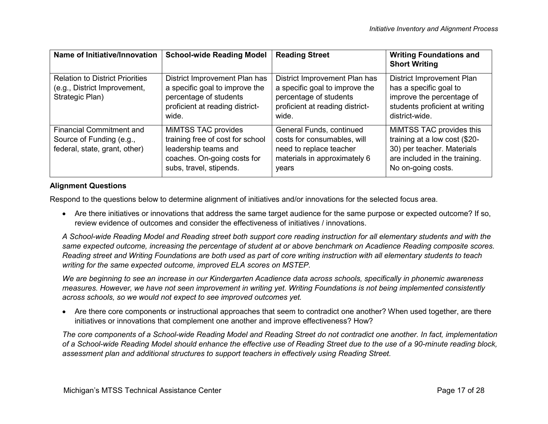| Name of Initiative/Innovation                                                                | <b>School-wide Reading Model</b>                                                                                                          | <b>Reading Street</b>                                                                                                                 | <b>Writing Foundations and</b><br><b>Short Writing</b>                                                                                         |
|----------------------------------------------------------------------------------------------|-------------------------------------------------------------------------------------------------------------------------------------------|---------------------------------------------------------------------------------------------------------------------------------------|------------------------------------------------------------------------------------------------------------------------------------------------|
| <b>Relation to District Priorities</b><br>(e.g., District Improvement,<br>Strategic Plan)    | District Improvement Plan has<br>a specific goal to improve the<br>percentage of students<br>proficient at reading district-<br>wide.     | District Improvement Plan has<br>a specific goal to improve the<br>percentage of students<br>proficient at reading district-<br>wide. | District Improvement Plan<br>has a specific goal to<br>improve the percentage of<br>students proficient at writing<br>district-wide.           |
| <b>Financial Commitment and</b><br>Source of Funding (e.g.,<br>federal, state, grant, other) | MIMTSS TAC provides<br>training free of cost for school<br>leadership teams and<br>coaches. On-going costs for<br>subs, travel, stipends. | General Funds, continued<br>costs for consumables, will<br>need to replace teacher<br>materials in approximately 6<br>years           | MIMTSS TAC provides this<br>training at a low cost (\$20-<br>30) per teacher. Materials<br>are included in the training.<br>No on-going costs. |

#### **Alignment Questions**

Respond to the questions below to determine alignment of initiatives and/or innovations for the selected focus area.

• Are there initiatives or innovations that address the same target audience for the same purpose or expected outcome? If so, review evidence of outcomes and consider the effectiveness of initiatives / innovations.

*A School-wide Reading Model and Reading street both support core reading instruction for all elementary students and with the same expected outcome, increasing the percentage of student at or above benchmark on Acadience Reading composite scores. Reading street and Writing Foundations are both used as part of core writing instruction with all elementary students to teach writing for the same expected outcome, improved ELA scores on MSTEP.*

*We are beginning to see an increase in our Kindergarten Acadience data across schools, specifically in phonemic awareness measures. However, we have not seen improvement in writing yet. Writing Foundations is not being implemented consistently across schools, so we would not expect to see improved outcomes yet.*

• Are there core components or instructional approaches that seem to contradict one another? When used together, are there initiatives or innovations that complement one another and improve effectiveness? How?

*The core components of a School-wide Reading Model and Reading Street do not contradict one another. In fact, implementation of a School-wide Reading Model should enhance the effective use of Reading Street due to the use of a 90-minute reading block, assessment plan and additional structures to support teachers in effectively using Reading Street.*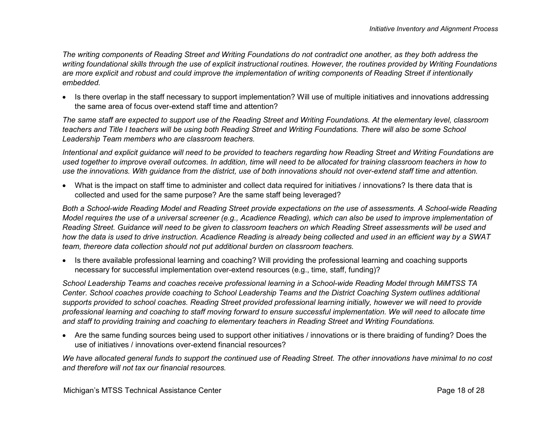*The writing components of Reading Street and Writing Foundations do not contradict one another, as they both address the writing foundational skills through the use of explicit instructional routines. However, the routines provided by Writing Foundations are more explicit and robust and could improve the implementation of writing components of Reading Street if intentionally embedded.*

• Is there overlap in the staff necessary to support implementation? Will use of multiple initiatives and innovations addressing the same area of focus over-extend staff time and attention?

*The same staff are expected to support use of the Reading Street and Writing Foundations. At the elementary level, classroom teachers and Title I teachers will be using both Reading Street and Writing Foundations. There will also be some School Leadership Team members who are classroom teachers.*

*Intentional and explicit guidance will need to be provided to teachers regarding how Reading Street and Writing Foundations are used together to improve overall outcomes. In addition, time will need to be allocated for training classroom teachers in how to use the innovations. With guidance from the district, use of both innovations should not over-extend staff time and attention.*

• What is the impact on staff time to administer and collect data required for initiatives / innovations? Is there data that is collected and used for the same purpose? Are the same staff being leveraged?

*Both a School-wide Reading Model and Reading Street provide expectations on the use of assessments. A School-wide Reading Model requires the use of a universal screener (e.g., Acadience Reading), which can also be used to improve implementation of Reading Street. Guidance will need to be given to classroom teachers on which Reading Street assessments will be used and how the data is used to drive instruction. Acadience Reading is already being collected and used in an efficient way by a SWAT team, thereore data collection should not put additional burden on classroom teachers.*

• Is there available professional learning and coaching? Will providing the professional learning and coaching supports necessary for successful implementation over-extend resources (e.g., time, staff, funding)?

*School Leadership Teams and coaches receive professional learning in a School-wide Reading Model through MiMTSS TA Center. School coaches provide coaching to School Leadership Teams and the District Coaching System outlines additional supports provided to school coaches. Reading Street provided professional learning initially, however we will need to provide professional learning and coaching to staff moving forward to ensure successful implementation. We will need to allocate time and staff to providing training and coaching to elementary teachers in Reading Street and Writing Foundations.* 

• Are the same funding sources being used to support other initiatives / innovations or is there braiding of funding? Does the use of initiatives / innovations over-extend financial resources?

*We have allocated general funds to support the continued use of Reading Street. The other innovations have minimal to no cost and therefore will not tax our financial resources.*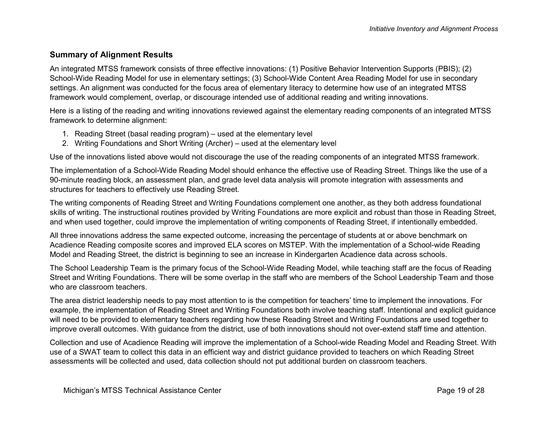#### **Summary of Alignment Results**

An integrated MTSS framework consists of three effective innovations: (1) Positive Behavior Intervention Supports (PBIS); (2) School-Wide Reading Model for use in elementary settings; (3) School-Wide Content Area Reading Model for use in secondary settings. An alignment was conducted for the focus area of elementary literacy to determine how use of an integrated MTSS framework would complement, overlap, or discourage intended use of additional reading and writing innovations.

Here is a listing of the reading and writing innovations reviewed against the elementary reading components of an integrated MTSS framework to determine alignment:

- 1. Reading Street (basal reading program) used at the elementary level
- 2. Writing Foundations and Short Writing (Archer) used at the elementary level

Use of the innovations listed above would not discourage the use of the reading components of an integrated MTSS framework.

<span id="page-18-0"></span>The implementation of a School-Wide Reading Model should enhance the effective use of Reading Street. Things like the use of a 90-minute reading block, an assessment plan, and grade level data analysis will promote integration with assessments and structures for teachers to effectively use Reading Street.

The writing components of Reading Street and Writing Foundations complement one another, as they both address foundational skills of writing. The instructional routines provided by Writing Foundations are more explicit and robust than those in Reading Street, and when used together, could improve the implementation of writing components of Reading Street, if intentionally embedded.

All three innovations address the same expected outcome, increasing the percentage of students at or above benchmark on Acadience Reading composite scores and improved ELA scores on MSTEP. With the implementation of a School-wide Reading Model and Reading Street, the district is beginning to see an increase in Kindergarten Acadience data across schools.

The School Leadership Team is the primary focus of the School-Wide Reading Model, while teaching staff are the focus of Reading Street and Writing Foundations. There will be some overlap in the staff who are members of the School Leadership Team and those who are classroom teachers.

The area district leadership needs to pay most attention to is the competition for teachers' time to implement the innovations. For example, the implementation of Reading Street and Writing Foundations both involve teaching staff. Intentional and explicit guidance will need to be provided to elementary teachers regarding how these Reading Street and Writing Foundations are used together to improve overall outcomes. With guidance from the district, use of both innovations should not over-extend staff time and attention.

Collection and use of Acadience Reading will improve the implementation of a School-wide Reading Model and Reading Street. With use of a SWAT team to collect this data in an efficient way and district guidance provided to teachers on which Reading Street assessments will be collected and used, data collection should not put additional burden on classroom teachers.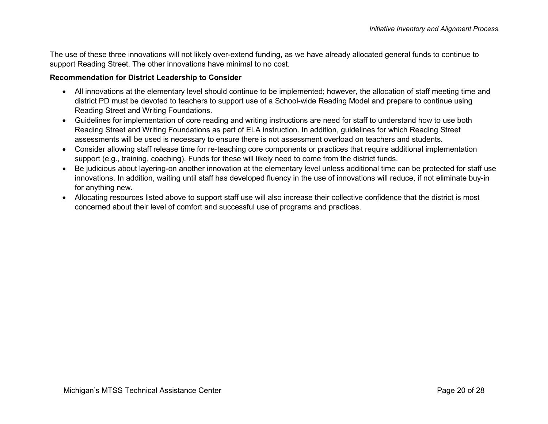The use of these three innovations will not likely over-extend funding, as we have already allocated general funds to continue to support Reading Street. The other innovations have minimal to no cost.

#### **Recommendation for District Leadership to Consider**

- All innovations at the elementary level should continue to be implemented; however, the allocation of staff meeting time and district PD must be devoted to teachers to support use of a School-wide Reading Model and prepare to continue using Reading Street and Writing Foundations.
- Guidelines for implementation of core reading and writing instructions are need for staff to understand how to use both Reading Street and Writing Foundations as part of ELA instruction. In addition, guidelines for which Reading Street assessments will be used is necessary to ensure there is not assessment overload on teachers and students.
- Consider allowing staff release time for re-teaching core components or practices that require additional implementation support (e.g., training, coaching). Funds for these will likely need to come from the district funds.
- Be judicious about layering-on another innovation at the elementary level unless additional time can be protected for staff use innovations. In addition, waiting until staff has developed fluency in the use of innovations will reduce, if not eliminate buy-in for anything new.
- Allocating resources listed above to support staff use will also increase their collective confidence that the district is most concerned about their level of comfort and successful use of programs and practices.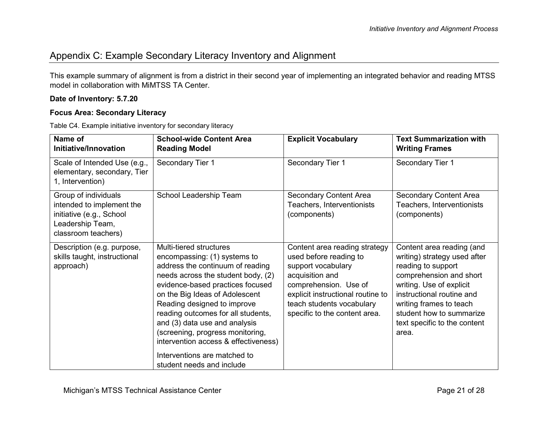## Appendix C: Example Secondary Literacy Inventory and Alignment

This example summary of alignment is from a district in their second year of implementing an integrated behavior and reading MTSS model in collaboration with MiMTSS TA Center.

#### **Date of Inventory: 5.7.20**

#### **Focus Area: Secondary Literacy**

Table C4. Example initiative inventory for secondary literacy

<span id="page-20-0"></span>

| Name of<br>Initiative/Innovation                                                                                         | <b>School-wide Content Area</b><br><b>Reading Model</b>                                                                                                                                                                                                                                                                                                                                                                                                | <b>Explicit Vocabulary</b>                                                                                                                                                                                                   | <b>Text Summarization with</b><br><b>Writing Frames</b>                                                                                                                                                                                                             |
|--------------------------------------------------------------------------------------------------------------------------|--------------------------------------------------------------------------------------------------------------------------------------------------------------------------------------------------------------------------------------------------------------------------------------------------------------------------------------------------------------------------------------------------------------------------------------------------------|------------------------------------------------------------------------------------------------------------------------------------------------------------------------------------------------------------------------------|---------------------------------------------------------------------------------------------------------------------------------------------------------------------------------------------------------------------------------------------------------------------|
| Scale of Intended Use (e.g.,<br>elementary, secondary, Tier<br>1, Intervention)                                          | Secondary Tier 1                                                                                                                                                                                                                                                                                                                                                                                                                                       | Secondary Tier 1                                                                                                                                                                                                             | Secondary Tier 1                                                                                                                                                                                                                                                    |
| Group of individuals<br>intended to implement the<br>initiative (e.g., School<br>Leadership Team,<br>classroom teachers) | School Leadership Team                                                                                                                                                                                                                                                                                                                                                                                                                                 | <b>Secondary Content Area</b><br>Teachers, Interventionists<br>(components)                                                                                                                                                  | <b>Secondary Content Area</b><br>Teachers, Interventionists<br>(components)                                                                                                                                                                                         |
| Description (e.g. purpose,<br>skills taught, instructional<br>approach)                                                  | Multi-tiered structures<br>encompassing: (1) systems to<br>address the continuum of reading<br>needs across the student body, (2)<br>evidence-based practices focused<br>on the Big Ideas of Adolescent<br>Reading designed to improve<br>reading outcomes for all students,<br>and (3) data use and analysis<br>(screening, progress monitoring,<br>intervention access & effectiveness)<br>Interventions are matched to<br>student needs and include | Content area reading strategy<br>used before reading to<br>support vocabulary<br>acquisition and<br>comprehension. Use of<br>explicit instructional routine to<br>teach students vocabulary<br>specific to the content area. | Content area reading (and<br>writing) strategy used after<br>reading to support<br>comprehension and short<br>writing. Use of explicit<br>instructional routine and<br>writing frames to teach<br>student how to summarize<br>text specific to the content<br>area. |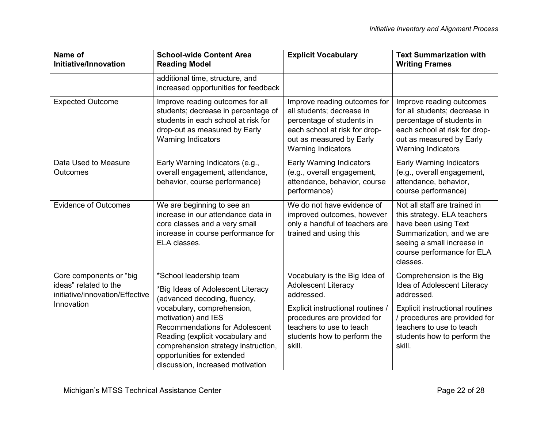| Name of<br>Initiative/Innovation                                                    | <b>School-wide Content Area</b><br><b>Reading Model</b>                                                                                                                                                                                 | <b>Explicit Vocabulary</b>                                                                                                                                                       | <b>Text Summarization with</b><br><b>Writing Frames</b>                                                                                                                                  |
|-------------------------------------------------------------------------------------|-----------------------------------------------------------------------------------------------------------------------------------------------------------------------------------------------------------------------------------------|----------------------------------------------------------------------------------------------------------------------------------------------------------------------------------|------------------------------------------------------------------------------------------------------------------------------------------------------------------------------------------|
|                                                                                     | additional time, structure, and<br>increased opportunities for feedback                                                                                                                                                                 |                                                                                                                                                                                  |                                                                                                                                                                                          |
| <b>Expected Outcome</b>                                                             | Improve reading outcomes for all<br>students; decrease in percentage of<br>students in each school at risk for<br>drop-out as measured by Early<br><b>Warning Indicators</b>                                                            | Improve reading outcomes for<br>all students; decrease in<br>percentage of students in<br>each school at risk for drop-<br>out as measured by Early<br><b>Warning Indicators</b> | Improve reading outcomes<br>for all students; decrease in<br>percentage of students in<br>each school at risk for drop-<br>out as measured by Early<br><b>Warning Indicators</b>         |
| Data Used to Measure<br>Outcomes                                                    | Early Warning Indicators (e.g.,<br>overall engagement, attendance,<br>behavior, course performance)                                                                                                                                     | <b>Early Warning Indicators</b><br>(e.g., overall engagement,<br>attendance, behavior, course<br>performance)                                                                    | <b>Early Warning Indicators</b><br>(e.g., overall engagement,<br>attendance, behavior,<br>course performance)                                                                            |
| <b>Evidence of Outcomes</b>                                                         | We are beginning to see an<br>increase in our attendance data in<br>core classes and a very small<br>increase in course performance for<br>ELA classes.                                                                                 | We do not have evidence of<br>improved outcomes, however<br>only a handful of teachers are<br>trained and using this                                                             | Not all staff are trained in<br>this strategy. ELA teachers<br>have been using Text<br>Summarization, and we are<br>seeing a small increase in<br>course performance for ELA<br>classes. |
| Core components or "big<br>ideas" related to the<br>initiative/innovation/Effective | *School leadership team<br>*Big Ideas of Adolescent Literacy<br>(advanced decoding, fluency,                                                                                                                                            | Vocabulary is the Big Idea of<br><b>Adolescent Literacy</b><br>addressed.                                                                                                        | Comprehension is the Big<br>Idea of Adolescent Literacy<br>addressed.                                                                                                                    |
| Innovation                                                                          | vocabulary, comprehension,<br>motivation) and IES<br><b>Recommendations for Adolescent</b><br>Reading (explicit vocabulary and<br>comprehension strategy instruction,<br>opportunities for extended<br>discussion, increased motivation | Explicit instructional routines /<br>procedures are provided for<br>teachers to use to teach<br>students how to perform the<br>skill.                                            | <b>Explicit instructional routines</b><br>/ procedures are provided for<br>teachers to use to teach<br>students how to perform the<br>skill.                                             |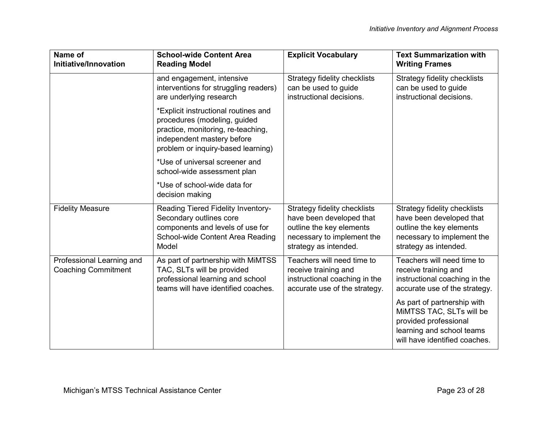| Name of<br>Initiative/Innovation                        | <b>School-wide Content Area</b><br><b>Reading Model</b>                                                                                                                        | <b>Explicit Vocabulary</b>                                                                                                                  | <b>Text Summarization with</b><br><b>Writing Frames</b>                                                                                            |
|---------------------------------------------------------|--------------------------------------------------------------------------------------------------------------------------------------------------------------------------------|---------------------------------------------------------------------------------------------------------------------------------------------|----------------------------------------------------------------------------------------------------------------------------------------------------|
|                                                         | and engagement, intensive<br>interventions for struggling readers)<br>are underlying research                                                                                  | Strategy fidelity checklists<br>can be used to guide<br>instructional decisions.                                                            | <b>Strategy fidelity checklists</b><br>can be used to guide<br>instructional decisions.                                                            |
|                                                         | *Explicit instructional routines and<br>procedures (modeling, guided<br>practice, monitoring, re-teaching,<br>independent mastery before<br>problem or inquiry-based learning) |                                                                                                                                             |                                                                                                                                                    |
|                                                         | *Use of universal screener and<br>school-wide assessment plan                                                                                                                  |                                                                                                                                             |                                                                                                                                                    |
|                                                         | *Use of school-wide data for<br>decision making                                                                                                                                |                                                                                                                                             |                                                                                                                                                    |
| <b>Fidelity Measure</b>                                 | Reading Tiered Fidelity Inventory-<br>Secondary outlines core<br>components and levels of use for<br>School-wide Content Area Reading<br>Model                                 | Strategy fidelity checklists<br>have been developed that<br>outline the key elements<br>necessary to implement the<br>strategy as intended. | <b>Strategy fidelity checklists</b><br>have been developed that<br>outline the key elements<br>necessary to implement the<br>strategy as intended. |
| Professional Learning and<br><b>Coaching Commitment</b> | As part of partnership with MiMTSS<br>TAC, SLTs will be provided<br>professional learning and school<br>teams will have identified coaches.                                    | Teachers will need time to<br>receive training and<br>instructional coaching in the<br>accurate use of the strategy.                        | Teachers will need time to<br>receive training and<br>instructional coaching in the<br>accurate use of the strategy.                               |
|                                                         |                                                                                                                                                                                |                                                                                                                                             | As part of partnership with<br>MiMTSS TAC, SLTs will be<br>provided professional<br>learning and school teams<br>will have identified coaches.     |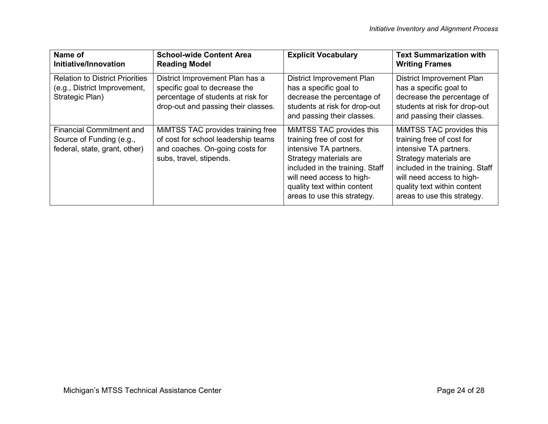| Name of<br>Initiative/Innovation                                                             | <b>School-wide Content Area</b><br><b>Reading Model</b>                                                                                       | <b>Explicit Vocabulary</b>                                                                                                                                                                                                              | <b>Text Summarization with</b><br><b>Writing Frames</b>                                                                                                                                                                                 |
|----------------------------------------------------------------------------------------------|-----------------------------------------------------------------------------------------------------------------------------------------------|-----------------------------------------------------------------------------------------------------------------------------------------------------------------------------------------------------------------------------------------|-----------------------------------------------------------------------------------------------------------------------------------------------------------------------------------------------------------------------------------------|
| <b>Relation to District Priorities</b><br>(e.g., District Improvement,<br>Strategic Plan)    | District Improvement Plan has a<br>specific goal to decrease the<br>percentage of students at risk for<br>drop-out and passing their classes. | <b>District Improvement Plan</b><br>has a specific goal to<br>decrease the percentage of<br>students at risk for drop-out<br>and passing their classes.                                                                                 | <b>District Improvement Plan</b><br>has a specific goal to<br>decrease the percentage of<br>students at risk for drop-out<br>and passing their classes.                                                                                 |
| <b>Financial Commitment and</b><br>Source of Funding (e.g.,<br>federal, state, grant, other) | MiMTSS TAC provides training free<br>of cost for school leadership teams<br>and coaches. On-going costs for<br>subs, travel, stipends.        | MiMTSS TAC provides this<br>training free of cost for<br>intensive TA partners.<br>Strategy materials are<br>included in the training. Staff<br>will need access to high-<br>quality text within content<br>areas to use this strategy. | MIMTSS TAC provides this<br>training free of cost for<br>intensive TA partners.<br>Strategy materials are<br>included in the training. Staff<br>will need access to high-<br>quality text within content<br>areas to use this strategy. |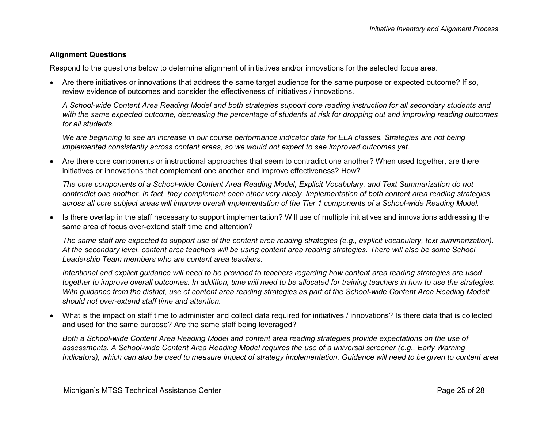#### **Alignment Questions**

Respond to the questions below to determine alignment of initiatives and/or innovations for the selected focus area.

• Are there initiatives or innovations that address the same target audience for the same purpose or expected outcome? If so, review evidence of outcomes and consider the effectiveness of initiatives / innovations.

*A School-wide Content Area Reading Model and both strategies support core reading instruction for all secondary students and with the same expected outcome, decreasing the percentage of students at risk for dropping out and improving reading outcomes for all students.* 

*We are beginning to see an increase in our course performance indicator data for ELA classes. Strategies are not being implemented consistently across content areas, so we would not expect to see improved outcomes yet.*

• Are there core components or instructional approaches that seem to contradict one another? When used together, are there initiatives or innovations that complement one another and improve effectiveness? How?

*The core components of a School-wide Content Area Reading Model, Explicit Vocabulary, and Text Summarization do not contradict one another. In fact, they complement each other very nicely. Implementation of both content area reading strategies across all core subject areas will improve overall implementation of the Tier 1 components of a School-wide Reading Model.*

• Is there overlap in the staff necessary to support implementation? Will use of multiple initiatives and innovations addressing the same area of focus over-extend staff time and attention?

*The same staff are expected to support use of the content area reading strategies (e.g., explicit vocabulary, text summarization). At the secondary level, content area teachers will be using content area reading strategies. There will also be some School Leadership Team members who are content area teachers.*

*Intentional and explicit guidance will need to be provided to teachers regarding how content area reading strategies are used together to improve overall outcomes. In addition, time will need to be allocated for training teachers in how to use the strategies. With guidance from the district, use of content area reading strategies as part of the School-wide Content Area Reading Modelt should not over-extend staff time and attention.*

• What is the impact on staff time to administer and collect data required for initiatives / innovations? Is there data that is collected and used for the same purpose? Are the same staff being leveraged?

*Both a School-wide Content Area Reading Model and content area reading strategies provide expectations on the use of assessments. A School-wide Content Area Reading Model requires the use of a universal screener (e.g., Early Warning Indicators), which can also be used to measure impact of strategy implementation. Guidance will need to be given to content area*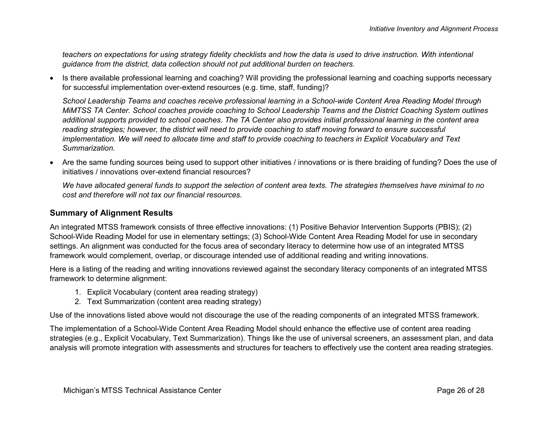*teachers on expectations for using strategy fidelity checklists and how the data is used to drive instruction. With intentional guidance from the district, data collection should not put additional burden on teachers.*

• Is there available professional learning and coaching? Will providing the professional learning and coaching supports necessary for successful implementation over-extend resources (e.g. time, staff, funding)?

*School Leadership Teams and coaches receive professional learning in a School-wide Content Area Reading Model through MiMTSS TA Center. School coaches provide coaching to School Leadership Teams and the District Coaching System outlines additional supports provided to school coaches. The TA Center also provides initial professional learning in the content area reading strategies; however, the district will need to provide coaching to staff moving forward to ensure successful implementation. We will need to allocate time and staff to provide coaching to teachers in Explicit Vocabulary and Text Summarization.*

• Are the same funding sources being used to support other initiatives / innovations or is there braiding of funding? Does the use of initiatives / innovations over-extend financial resources?

*We have allocated general funds to support the selection of content area texts. The strategies themselves have minimal to no cost and therefore will not tax our financial resources.*

#### **Summary of Alignment Results**

An integrated MTSS framework consists of three effective innovations: (1) Positive Behavior Intervention Supports (PBIS); (2) School-Wide Reading Model for use in elementary settings; (3) School-Wide Content Area Reading Model for use in secondary settings. An alignment was conducted for the focus area of secondary literacy to determine how use of an integrated MTSS framework would complement, overlap, or discourage intended use of additional reading and writing innovations.

Here is a listing of the reading and writing innovations reviewed against the secondary literacy components of an integrated MTSS framework to determine alignment:

- 1. Explicit Vocabulary (content area reading strategy)
- 2. Text Summarization (content area reading strategy)

Use of the innovations listed above would not discourage the use of the reading components of an integrated MTSS framework.

<span id="page-25-0"></span>The implementation of a School-Wide Content Area Reading Model should enhance the effective use of content area reading strategies (e.g., Explicit Vocabulary, Text Summarization). Things like the use of universal screeners, an assessment plan, and data analysis will promote integration with assessments and structures for teachers to effectively use the content area reading strategies.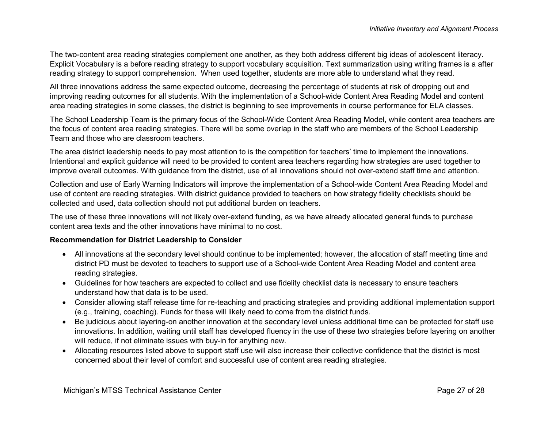The two-content area reading strategies complement one another, as they both address different big ideas of adolescent literacy. Explicit Vocabulary is a before reading strategy to support vocabulary acquisition. Text summarization using writing frames is a after reading strategy to support comprehension. When used together, students are more able to understand what they read.

All three innovations address the same expected outcome, decreasing the percentage of students at risk of dropping out and improving reading outcomes for all students. With the implementation of a School-wide Content Area Reading Model and content area reading strategies in some classes, the district is beginning to see improvements in course performance for ELA classes.

The School Leadership Team is the primary focus of the School-Wide Content Area Reading Model, while content area teachers are the focus of content area reading strategies. There will be some overlap in the staff who are members of the School Leadership Team and those who are classroom teachers.

The area district leadership needs to pay most attention to is the competition for teachers' time to implement the innovations. Intentional and explicit guidance will need to be provided to content area teachers regarding how strategies are used together to improve overall outcomes. With guidance from the district, use of all innovations should not over-extend staff time and attention.

Collection and use of Early Warning Indicators will improve the implementation of a School-wide Content Area Reading Model and use of content are reading strategies. With district guidance provided to teachers on how strategy fidelity checklists should be collected and used, data collection should not put additional burden on teachers.

The use of these three innovations will not likely over-extend funding, as we have already allocated general funds to purchase content area texts and the other innovations have minimal to no cost.

#### **Recommendation for District Leadership to Consider**

- All innovations at the secondary level should continue to be implemented; however, the allocation of staff meeting time and district PD must be devoted to teachers to support use of a School-wide Content Area Reading Model and content area reading strategies.
- Guidelines for how teachers are expected to collect and use fidelity checklist data is necessary to ensure teachers understand how that data is to be used.
- Consider allowing staff release time for re-teaching and practicing strategies and providing additional implementation support (e.g., training, coaching). Funds for these will likely need to come from the district funds.
- Be judicious about layering-on another innovation at the secondary level unless additional time can be protected for staff use innovations. In addition, waiting until staff has developed fluency in the use of these two strategies before layering on another will reduce, if not eliminate issues with buy-in for anything new.
- Allocating resources listed above to support staff use will also increase their collective confidence that the district is most concerned about their level of comfort and successful use of content area reading strategies.